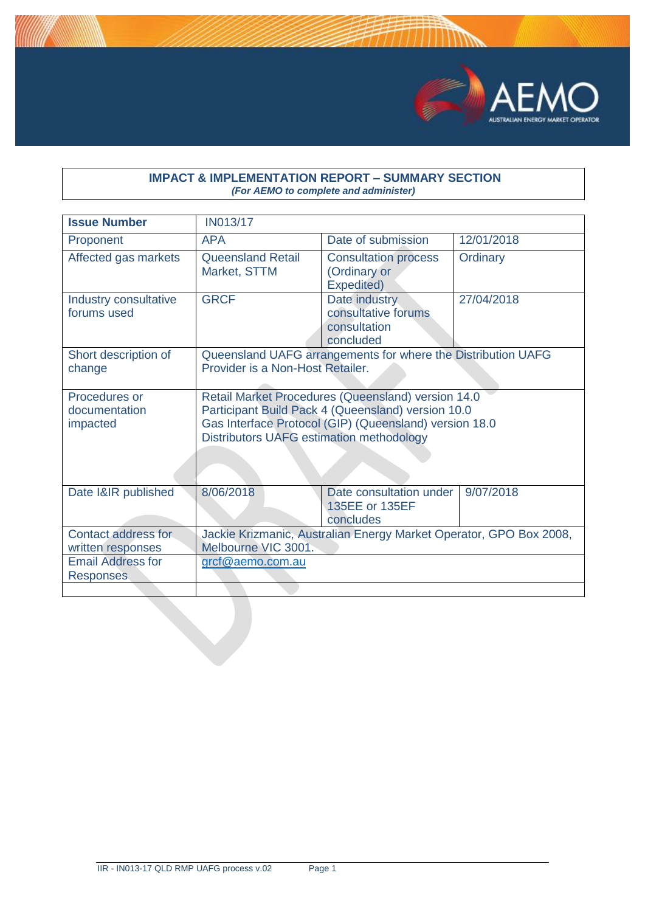

#### **IMPACT & IMPLEMENTATION REPORT – SUMMARY SECTION** *(For AEMO to complete and administer)*

| <b>Issue Number</b>                          | <b>IN013/17</b>                                                                                                                                                                                                       |                                                                   |            |
|----------------------------------------------|-----------------------------------------------------------------------------------------------------------------------------------------------------------------------------------------------------------------------|-------------------------------------------------------------------|------------|
| Proponent                                    | <b>APA</b>                                                                                                                                                                                                            | Date of submission                                                | 12/01/2018 |
| Affected gas markets                         | <b>Queensland Retail</b><br>Market, STTM                                                                                                                                                                              | <b>Consultation process</b><br>(Ordinary or<br>Expedited)         | Ordinary   |
| Industry consultative<br>forums used         | <b>GRCF</b>                                                                                                                                                                                                           | Date industry<br>consultative forums<br>consultation<br>concluded | 27/04/2018 |
| Short description of<br>change               | Queensland UAFG arrangements for where the Distribution UAFG<br>Provider is a Non-Host Retailer.                                                                                                                      |                                                                   |            |
| Procedures or<br>documentation<br>impacted   | Retail Market Procedures (Queensland) version 14.0<br>Participant Build Pack 4 (Queensland) version 10.0<br>Gas Interface Protocol (GIP) (Queensland) version 18.0<br><b>Distributors UAFG estimation methodology</b> |                                                                   |            |
| Date I&IR published                          | 8/06/2018                                                                                                                                                                                                             | Date consultation under<br>135EE or 135EF<br>concludes            | 9/07/2018  |
| Contact address for<br>written responses     | Jackie Krizmanic, Australian Energy Market Operator, GPO Box 2008,<br>Melbourne VIC 3001.                                                                                                                             |                                                                   |            |
| <b>Email Address for</b><br><b>Responses</b> | <u>grcf@aemo.com.au</u>                                                                                                                                                                                               |                                                                   |            |
|                                              |                                                                                                                                                                                                                       |                                                                   |            |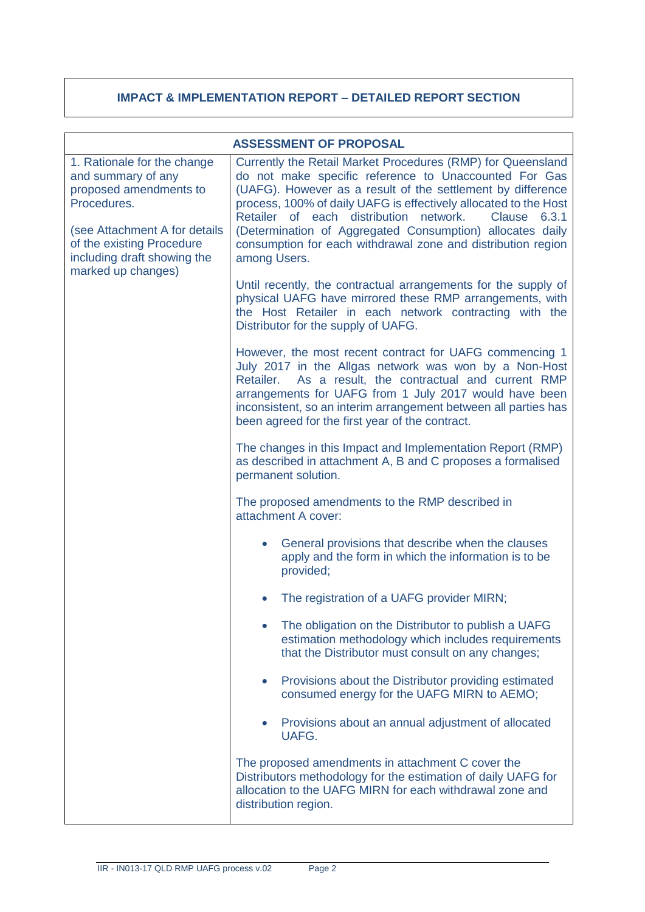# **IMPACT & IMPLEMENTATION REPORT – DETAILED REPORT SECTION**

| <b>ASSESSMENT OF PROPOSAL</b>                                                                                                                                                                                 |                                                                                                                                                                                                                                                                                                                                                                                                                                                                   |  |
|---------------------------------------------------------------------------------------------------------------------------------------------------------------------------------------------------------------|-------------------------------------------------------------------------------------------------------------------------------------------------------------------------------------------------------------------------------------------------------------------------------------------------------------------------------------------------------------------------------------------------------------------------------------------------------------------|--|
| 1. Rationale for the change<br>and summary of any<br>proposed amendments to<br>Procedures.<br>(see Attachment A for details<br>of the existing Procedure<br>including draft showing the<br>marked up changes) | Currently the Retail Market Procedures (RMP) for Queensland<br>do not make specific reference to Unaccounted For Gas<br>(UAFG). However as a result of the settlement by difference<br>process, 100% of daily UAFG is effectively allocated to the Host<br>Retailer of each distribution network.<br>Clause<br>6.3.1<br>(Determination of Aggregated Consumption) allocates daily<br>consumption for each withdrawal zone and distribution region<br>among Users. |  |
|                                                                                                                                                                                                               | Until recently, the contractual arrangements for the supply of<br>physical UAFG have mirrored these RMP arrangements, with<br>the Host Retailer in each network contracting with the<br>Distributor for the supply of UAFG.                                                                                                                                                                                                                                       |  |
|                                                                                                                                                                                                               | However, the most recent contract for UAFG commencing 1<br>July 2017 in the Allgas network was won by a Non-Host<br>As a result, the contractual and current RMP<br>Retailer.<br>arrangements for UAFG from 1 July 2017 would have been<br>inconsistent, so an interim arrangement between all parties has<br>been agreed for the first year of the contract.                                                                                                     |  |
|                                                                                                                                                                                                               | The changes in this Impact and Implementation Report (RMP)<br>as described in attachment A, B and C proposes a formalised<br>permanent solution.<br>The proposed amendments to the RMP described in<br>attachment A cover:<br>General provisions that describe when the clauses<br>$\bullet$<br>apply and the form in which the information is to be<br>provided;                                                                                                 |  |
|                                                                                                                                                                                                               |                                                                                                                                                                                                                                                                                                                                                                                                                                                                   |  |
|                                                                                                                                                                                                               |                                                                                                                                                                                                                                                                                                                                                                                                                                                                   |  |
|                                                                                                                                                                                                               | The registration of a UAFG provider MIRN;                                                                                                                                                                                                                                                                                                                                                                                                                         |  |
|                                                                                                                                                                                                               | The obligation on the Distributor to publish a UAFG<br>estimation methodology which includes requirements<br>that the Distributor must consult on any changes;                                                                                                                                                                                                                                                                                                    |  |
|                                                                                                                                                                                                               | Provisions about the Distributor providing estimated<br>$\bullet$<br>consumed energy for the UAFG MIRN to AEMO;                                                                                                                                                                                                                                                                                                                                                   |  |
|                                                                                                                                                                                                               | Provisions about an annual adjustment of allocated<br>$\bullet$<br>UAFG.                                                                                                                                                                                                                                                                                                                                                                                          |  |
|                                                                                                                                                                                                               | The proposed amendments in attachment C cover the<br>Distributors methodology for the estimation of daily UAFG for<br>allocation to the UAFG MIRN for each withdrawal zone and<br>distribution region.                                                                                                                                                                                                                                                            |  |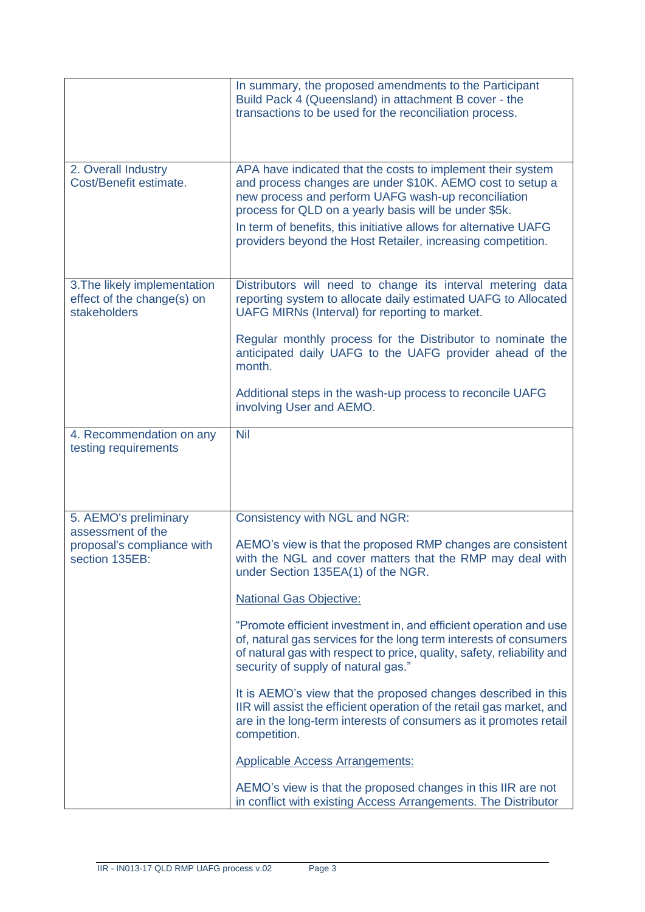|                                                                            | In summary, the proposed amendments to the Participant<br>Build Pack 4 (Queensland) in attachment B cover - the<br>transactions to be used for the reconciliation process.                                                                                                                                                                                                  |
|----------------------------------------------------------------------------|-----------------------------------------------------------------------------------------------------------------------------------------------------------------------------------------------------------------------------------------------------------------------------------------------------------------------------------------------------------------------------|
| 2. Overall Industry<br>Cost/Benefit estimate.                              | APA have indicated that the costs to implement their system<br>and process changes are under \$10K. AEMO cost to setup a<br>new process and perform UAFG wash-up reconciliation<br>process for QLD on a yearly basis will be under \$5k.<br>In term of benefits, this initiative allows for alternative UAFG<br>providers beyond the Host Retailer, increasing competition. |
| 3. The likely implementation<br>effect of the change(s) on<br>stakeholders | Distributors will need to change its interval metering data<br>reporting system to allocate daily estimated UAFG to Allocated<br>UAFG MIRNs (Interval) for reporting to market.                                                                                                                                                                                             |
|                                                                            | Regular monthly process for the Distributor to nominate the<br>anticipated daily UAFG to the UAFG provider ahead of the<br>month.                                                                                                                                                                                                                                           |
|                                                                            | Additional steps in the wash-up process to reconcile UAFG<br>involving User and AEMO.                                                                                                                                                                                                                                                                                       |
| 4. Recommendation on any<br>testing requirements                           | <b>Nil</b>                                                                                                                                                                                                                                                                                                                                                                  |
| 5. AEMO's preliminary                                                      | Consistency with NGL and NGR:                                                                                                                                                                                                                                                                                                                                               |
| assessment of the<br>proposal's compliance with<br>section 135EB:          | AEMO's view is that the proposed RMP changes are consistent<br>with the NGL and cover matters that the RMP may deal with<br>under Section 135EA(1) of the NGR.                                                                                                                                                                                                              |
|                                                                            | <b>National Gas Objective:</b>                                                                                                                                                                                                                                                                                                                                              |
|                                                                            | "Promote efficient investment in, and efficient operation and use<br>of, natural gas services for the long term interests of consumers<br>of natural gas with respect to price, quality, safety, reliability and<br>security of supply of natural gas."                                                                                                                     |
|                                                                            | It is AEMO's view that the proposed changes described in this<br>IIR will assist the efficient operation of the retail gas market, and<br>are in the long-term interests of consumers as it promotes retail<br>competition.                                                                                                                                                 |
|                                                                            | <b>Applicable Access Arrangements:</b>                                                                                                                                                                                                                                                                                                                                      |
|                                                                            | AEMO's view is that the proposed changes in this IIR are not<br>in conflict with existing Access Arrangements. The Distributor                                                                                                                                                                                                                                              |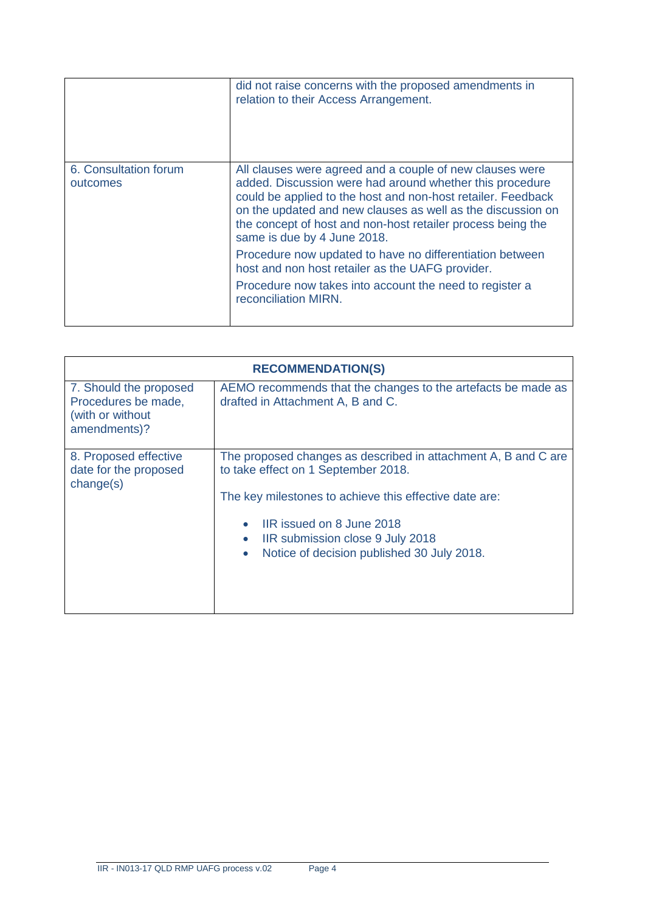|                                   | did not raise concerns with the proposed amendments in<br>relation to their Access Arrangement.                                                                                                                                                                                                                                                   |
|-----------------------------------|---------------------------------------------------------------------------------------------------------------------------------------------------------------------------------------------------------------------------------------------------------------------------------------------------------------------------------------------------|
| 6. Consultation forum<br>outcomes | All clauses were agreed and a couple of new clauses were<br>added. Discussion were had around whether this procedure<br>could be applied to the host and non-host retailer. Feedback<br>on the updated and new clauses as well as the discussion on<br>the concept of host and non-host retailer process being the<br>same is due by 4 June 2018. |
|                                   | Procedure now updated to have no differentiation between<br>host and non host retailer as the UAFG provider.                                                                                                                                                                                                                                      |
|                                   | Procedure now takes into account the need to register a<br>reconciliation MIRN.                                                                                                                                                                                                                                                                   |

| <b>RECOMMENDATION(S)</b>                                                          |                                                                                                                                                                                                                                                                                                                       |  |
|-----------------------------------------------------------------------------------|-----------------------------------------------------------------------------------------------------------------------------------------------------------------------------------------------------------------------------------------------------------------------------------------------------------------------|--|
| 7. Should the proposed<br>Procedures be made,<br>(with or without<br>amendments)? | AEMO recommends that the changes to the artefacts be made as<br>drafted in Attachment A, B and C.                                                                                                                                                                                                                     |  |
| 8. Proposed effective<br>date for the proposed<br>change(s)                       | The proposed changes as described in attachment A, B and C are<br>to take effect on 1 September 2018.<br>The key milestones to achieve this effective date are:<br>IIR issued on 8 June 2018<br>$\bullet$<br>IIR submission close 9 July 2018<br>$\bullet$<br>Notice of decision published 30 July 2018.<br>$\bullet$ |  |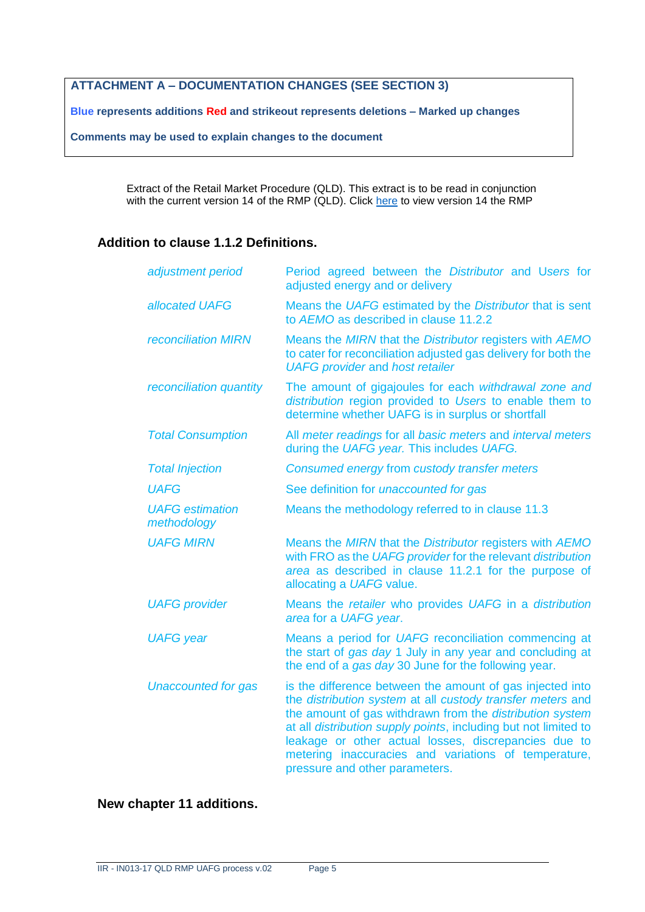# **ATTACHMENT A – DOCUMENTATION CHANGES (SEE SECTION 3)**

**Blue represents additions Red and strikeout represents deletions – Marked up changes**

**Comments may be used to explain changes to the document**

Extract of the Retail Market Procedure (QLD). This extract is to be read in conjunction with the current version 14 of the RMP (QLD). Click [here](https://www.aemo.com.au/-/media/Files/Gas/Retail_Markets_and_Metering/Market-Procedures/QLD/2017/Retail-Market-Procedures-Queensland--version-140-Clean.pdf) to view version 14 the RMP

## **Addition to clause 1.1.2 Definitions.**

| adjustment period                     | Period agreed between the Distributor and Users for<br>adjusted energy and or delivery                                                                                                                                                                                                                                                                                                                   |  |
|---------------------------------------|----------------------------------------------------------------------------------------------------------------------------------------------------------------------------------------------------------------------------------------------------------------------------------------------------------------------------------------------------------------------------------------------------------|--|
| allocated UAFG                        | Means the UAFG estimated by the Distributor that is sent<br>to AEMO as described in clause 11.2.2                                                                                                                                                                                                                                                                                                        |  |
| <b>reconciliation MIRN</b>            | Means the MIRN that the Distributor registers with AEMO<br>to cater for reconciliation adjusted gas delivery for both the<br><b>UAFG</b> provider and host retailer                                                                                                                                                                                                                                      |  |
| reconciliation quantity               | The amount of gigajoules for each withdrawal zone and<br>distribution region provided to Users to enable them to<br>determine whether UAFG is in surplus or shortfall                                                                                                                                                                                                                                    |  |
| <b>Total Consumption</b>              | All meter readings for all basic meters and interval meters<br>during the UAFG year. This includes UAFG.                                                                                                                                                                                                                                                                                                 |  |
| <b>Total Injection</b>                | Consumed energy from custody transfer meters                                                                                                                                                                                                                                                                                                                                                             |  |
| <b>UAFG</b>                           | See definition for <i>unaccounted for gas</i>                                                                                                                                                                                                                                                                                                                                                            |  |
| <b>UAFG</b> estimation<br>methodology | Means the methodology referred to in clause 11.3                                                                                                                                                                                                                                                                                                                                                         |  |
| <b>UAFG MIRN</b>                      | Means the MIRN that the Distributor registers with AEMO<br>with FRO as the UAFG provider for the relevant distribution<br>area as described in clause 11.2.1 for the purpose of<br>allocating a UAFG value.                                                                                                                                                                                              |  |
| <b>UAFG</b> provider                  | Means the retailer who provides UAFG in a distribution<br>area for a UAFG year.                                                                                                                                                                                                                                                                                                                          |  |
| <b>UAFG</b> year                      | Means a period for UAFG reconciliation commencing at<br>the start of gas day 1 July in any year and concluding at<br>the end of a gas day 30 June for the following year.                                                                                                                                                                                                                                |  |
| <b>Unaccounted for gas</b>            | is the difference between the amount of gas injected into<br>the distribution system at all custody transfer meters and<br>the amount of gas withdrawn from the distribution system<br>at all distribution supply points, including but not limited to<br>leakage or other actual losses, discrepancies due to<br>metering inaccuracies and variations of temperature,<br>pressure and other parameters. |  |

# **New chapter 11 additions.**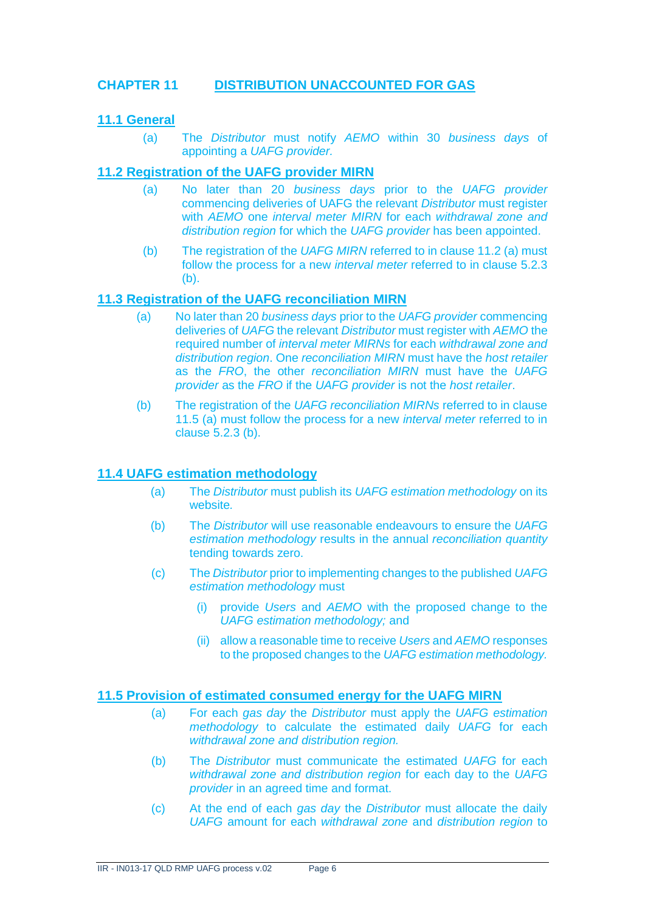# **CHAPTER 11 DISTRIBUTION UNACCOUNTED FOR GAS**

## **11.1 General**

(a) The *Distributor* must notify *AEMO* within 30 *business days* of appointing a *UAFG provider.* 

#### **11.2 Registration of the UAFG provider MIRN**

- (a) No later than 20 *business days* prior to the *UAFG provider* commencing deliveries of UAFG the relevant *Distributor* must register with *AEMO* one *interval meter MIRN* for each *withdrawal zone and distribution region* for which the *UAFG provider* has been appointed.
- (b) The registration of the *UAFG MIRN* referred to in clause 11.2 (a) must follow the process for a new *interval meter* referred to in clause 5.2.3 (b).

#### **11.3 Registration of the UAFG reconciliation MIRN**

- (a) No later than 20 *business days* prior to the *UAFG provider* commencing deliveries of *UAFG* the relevant *Distributor* must register with *AEMO* the required number of *interval meter MIRNs* for each *withdrawal zone and distribution region*. One *reconciliation MIRN* must have the *host retailer* as the *FRO*, the other *reconciliation MIRN* must have the *UAFG provider* as the *FRO* if the *UAFG provider* is not the *host retailer*.
- (b) The registration of the *UAFG reconciliation MIRNs* referred to in clause 11.5 (a) must follow the process for a new *interval meter* referred to in clause 5.2.3 (b).

#### **11.4 UAFG estimation methodology**

- (a) The *Distributor* must publish its *UAFG estimation methodology* on its website*.*
- (b) The *Distributor* will use reasonable endeavours to ensure the *UAFG estimation methodology* results in the annual *reconciliation quantity* tending towards zero.
- (c) The *Distributor* prior to implementing changes to the published *UAFG estimation methodology* must
	- (i) provide *Users* and *AEMO* with the proposed change to the *UAFG estimation methodology;* and
	- (ii) allow a reasonable time to receive *Users* and *AEMO* responses to the proposed changes to the *UAFG estimation methodology.*

#### **11.5 Provision of estimated consumed energy for the UAFG MIRN**

- (a) For each *gas day* the *Distributor* must apply the *UAFG estimation methodology* to calculate the estimated daily *UAFG* for each *withdrawal zone and distribution region.*
- (b) The *Distributor* must communicate the estimated *UAFG* for each *withdrawal zone and distribution region* for each day to the *UAFG provider* in an agreed time and format.
- (c) At the end of each *gas day* the *Distributor* must allocate the daily *UAFG* amount for each *withdrawal zone* and *distribution region* to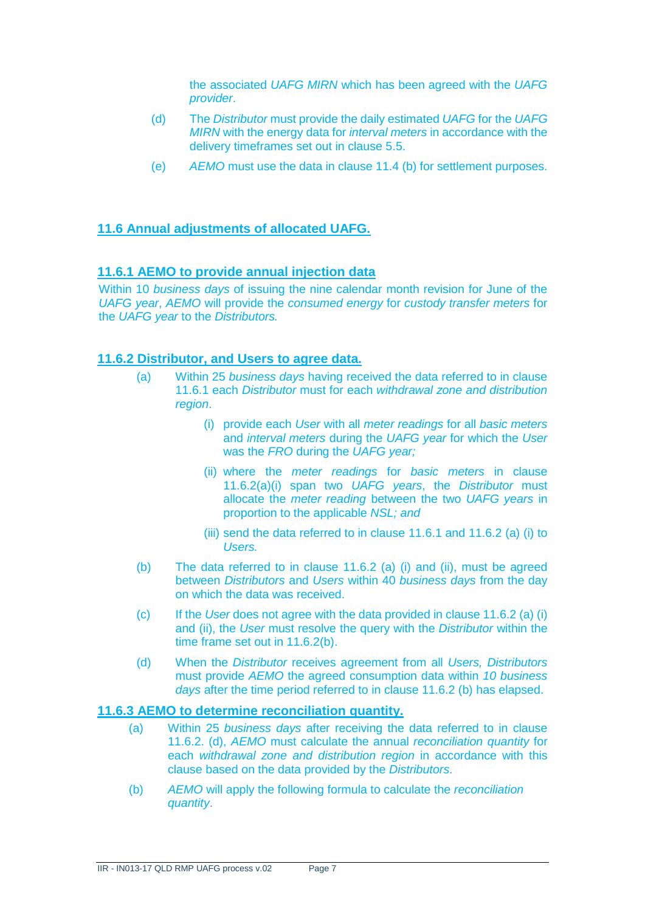the associated *UAFG MIRN* which has been agreed with the *UAFG provider*.

- (d) The *Distributor* must provide the daily estimated *UAFG* for the *UAFG MIRN* with the energy data for *interval meters* in accordance with the delivery timeframes set out in clause 5.5.
- (e) *AEMO* must use the data in clause 11.4 (b) for settlement purposes.

# **11.6 Annual adjustments of allocated UAFG.**

## **11.6.1 AEMO to provide annual injection data**

Within 10 *business days* of issuing the nine calendar month revision for June of the *UAFG year*, *AEMO* will provide the *consumed energy* for *custody transfer meters* for the *UAFG year* to the *Distributors.*

#### **11.6.2 Distributor, and Users to agree data.**

- (a) Within 25 *business days* having received the data referred to in clause 11.6.1 each *Distributor* must for each *withdrawal zone and distribution region*.
	- (i) provide each *User* with all *meter readings* for all *basic meters*  and *interval meters* during the *UAFG year* for which the *User*  was the *FRO* during the *UAFG year;*
	- (ii) where the *meter readings* for *basic meters* in clause 11.6.2(a)(i) span two *UAFG years*, the *Distributor* must allocate the *meter reading* between the two *UAFG years* in proportion to the applicable *NSL; and*
	- (iii) send the data referred to in clause 11.6.1 and 11.6.2 (a) (i) to *Users.*
- (b) The data referred to in clause 11.6.2 (a) (i) and (ii), must be agreed between *Distributors* and *Users* within 40 *business days* from the day on which the data was received.
- (c) If the *User* does not agree with the data provided in clause 11.6.2 (a) (i) and (ii), the *User* must resolve the query with the *Distributor* within the time frame set out in 11.6.2(b).
- (d) When the *Distributor* receives agreement from all *Users, Distributors* must provide *AEMO* the agreed consumption data within *10 business days* after the time period referred to in clause 11.6.2 (b) has elapsed.

#### **11.6.3 AEMO to determine reconciliation quantity.**

- (a) Within 25 *business days* after receiving the data referred to in clause 11.6.2. (d), *AEMO* must calculate the annual *reconciliation quantity* for each *withdrawal zone and distribution region* in accordance with this clause based on the data provided by the *Distributors*.
- (b) *AEMO* will apply the following formula to calculate the *reconciliation quantity*.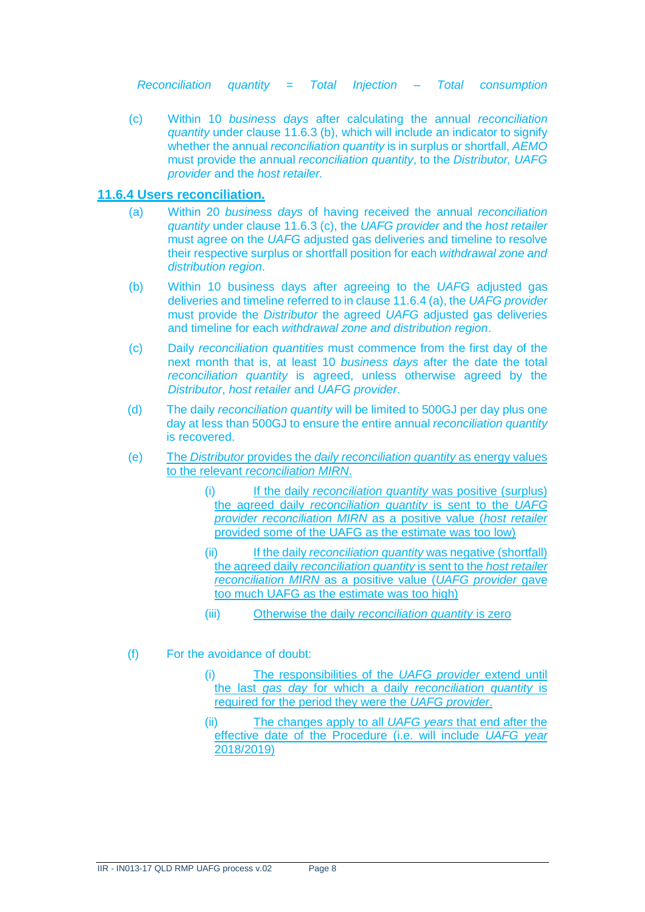*Reconciliation quantity* = *Total Injection* – *Total consumption*

(c) Within 10 *business days* after calculating the annual *reconciliation quantity* under clause 11.6.3 (b), which will include an indicator to signify whether the annual *reconciliation quantity* is in surplus or shortfall, *AEMO* must provide the annual *reconciliation quantity*, to the *Distributor, UAFG provider* and the *host retailer.*

#### **11.6.4 Users reconciliation.**

- (a) Within 20 *business days* of having received the annual *reconciliation quantity* under clause 11.6.3 (c), the *UAFG provider* and the *host retailer* must agree on the *UAFG* adjusted gas deliveries and timeline to resolve their respective surplus or shortfall position for each *withdrawal zone and distribution region*.
- (b) Within 10 business days after agreeing to the *UAFG* adjusted gas deliveries and timeline referred to in clause 11.6.4 (a), the *UAFG provider*  must provide the *Distributor* the agreed *UAFG* adjusted gas deliveries and timeline for each *withdrawal zone and distribution region*.
- (c) Daily *reconciliation quantities* must commence from the first day of the next month that is, at least 10 *business days* after the date the total *reconciliation quantity* is agreed, unless otherwise agreed by the *Distributor*, *host retailer* and *UAFG provider*.
- (d) The daily *reconciliation quantity* will be limited to 500GJ per day plus one day at less than 500GJ to ensure the entire annual *reconciliation quantity*  is recovered.
- (e) The *Distributor* provides the *daily reconciliation quantity* as energy values to the relevant *reconciliation MIRN*.
	- (i) If the daily *reconciliation quantity* was positive (surplus) the agreed daily *reconciliation quantity* is sent to the *UAFG provider reconciliation MIRN* as a positive value (*host retailer* provided some of the UAFG as the estimate was too low)
	- (ii) If the daily *reconciliation quantity* was negative (shortfall) the agreed daily *reconciliation quantity* is sent to the *host retailer reconciliation MIRN* as a positive value (*UAFG provider* gave too much UAFG as the estimate was too high)
	- (iii) Otherwise the daily *reconciliation quantity* is zero
- (f) For the avoidance of doubt:
	- (i) The responsibilities of the *UAFG provider* extend until the last *gas day* for which a daily *reconciliation quantity* is required for the period they were the *UAFG provider*.
	- (ii) The changes apply to all *UAFG years* that end after the effective date of the Procedure (i.e. will include *UAFG year* 2018/2019)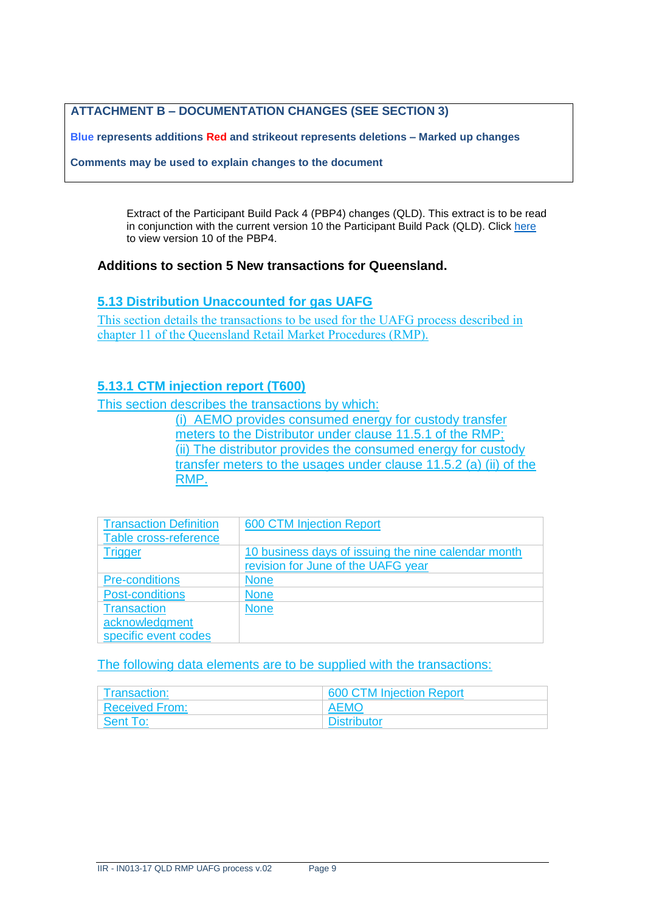# **ATTACHMENT B – DOCUMENTATION CHANGES (SEE SECTION 3)**

**Blue represents additions Red and strikeout represents deletions – Marked up changes**

**Comments may be used to explain changes to the document**

Extract of the Participant Build Pack 4 (PBP4) changes (QLD). This extract is to be read in conjunction with the current version 10 the Participant Build Pack (QLD). Click [here](https://www.aemo.com.au/-/media/Files/Gas/Retail_Markets_and_Metering/Market-Procedures/QLD/GIP/Build_Pack_4/Participant-Build-Pack-4--Queensland-v-100-Clean.pdf)  to view version 10 of the PBP4.

#### **Additions to section 5 New transactions for Queensland.**

#### **5.13 Distribution Unaccounted for gas UAFG**

This section details the transactions to be used for the UAFG process described in chapter 11 of the Queensland Retail Market Procedures (RMP).

# **5.13.1 CTM injection report (T600)**

This section describes the transactions by which:

(i) AEMO provides consumed energy for custody transfer meters to the Distributor under clause 11.5.1 of the RMP; (ii) The distributor provides the consumed energy for custody transfer meters to the usages under clause 11.5.2 (a) (ii) of the RMP.

| <b>Transaction Definition</b> | <b>600 CTM Injection Report</b>                     |
|-------------------------------|-----------------------------------------------------|
| Table cross-reference         |                                                     |
| <b>Trigger</b>                | 10 business days of issuing the nine calendar month |
|                               | revision for June of the UAFG year                  |
| <b>Pre-conditions</b>         | <b>None</b>                                         |
| <b>Post-conditions</b>        | <b>None</b>                                         |
| <b>Transaction</b>            | <b>None</b>                                         |
| acknowledgment                |                                                     |
| specific event codes          |                                                     |

| Transaction:   | 600 CTM Injection Report |
|----------------|--------------------------|
| Received From: | . AEMO .                 |
| Sent To:       | <b>Distributor</b>       |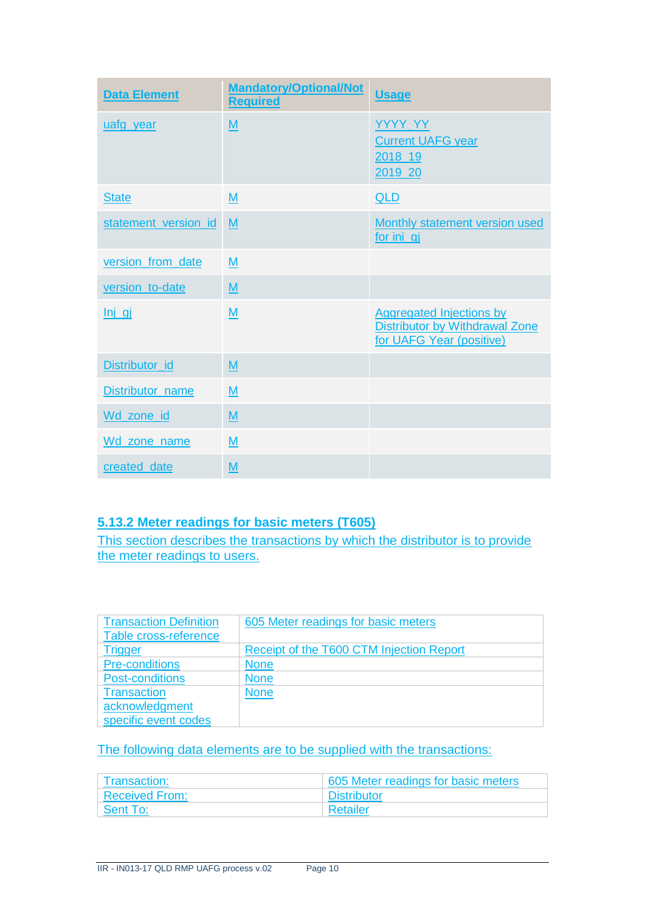| <b>Data Element</b>  | <b>Mandatory/Optional/Not</b><br><b>Required</b> | <b>Usage</b>                                                                                         |
|----------------------|--------------------------------------------------|------------------------------------------------------------------------------------------------------|
| uafg year            | M                                                | YYYY_YY<br><b>Current UAFG year</b><br>2018_19<br>2019 20                                            |
| <b>State</b>         | M                                                | <b>QLD</b>                                                                                           |
| statement_version_id | M                                                | <b>Monthly statement version used</b><br>for ini gi                                                  |
| version_from_date    | M                                                |                                                                                                      |
| version to-date      | M                                                |                                                                                                      |
| Inj                  | M                                                | <b>Aggregated Injections by</b><br><b>Distributor by Withdrawal Zone</b><br>for UAFG Year (positive) |
| Distributor id       | $\underline{\mathsf{M}}$                         |                                                                                                      |
| Distributor_name     | $\underline{\mathsf{M}}$                         |                                                                                                      |
| Wd_zone_id           | $\underline{\mathsf{M}}$                         |                                                                                                      |
| Wd zone name         | $\underline{\mathsf{M}}$                         |                                                                                                      |
| created date         | M                                                |                                                                                                      |

# **5.13.2 Meter readings for basic meters (T605)**

This section describes the transactions by which the distributor is to provide the meter readings to users.

| <b>Transaction Definition</b> | 605 Meter readings for basic meters      |
|-------------------------------|------------------------------------------|
| Table cross-reference         |                                          |
| <b>Trigger</b>                | Receipt of the T600 CTM Injection Report |
| <b>Pre-conditions</b>         | <b>None</b>                              |
| <b>Post-conditions</b>        | <b>None</b>                              |
| <b>Transaction</b>            | <b>None</b>                              |
| acknowledgment                |                                          |
| specific event codes          |                                          |

| Transaction:          | 605 Meter readings for basic meters |
|-----------------------|-------------------------------------|
| <b>Received From:</b> | <b>Distributor</b>                  |
| Sent To:              | Retailer                            |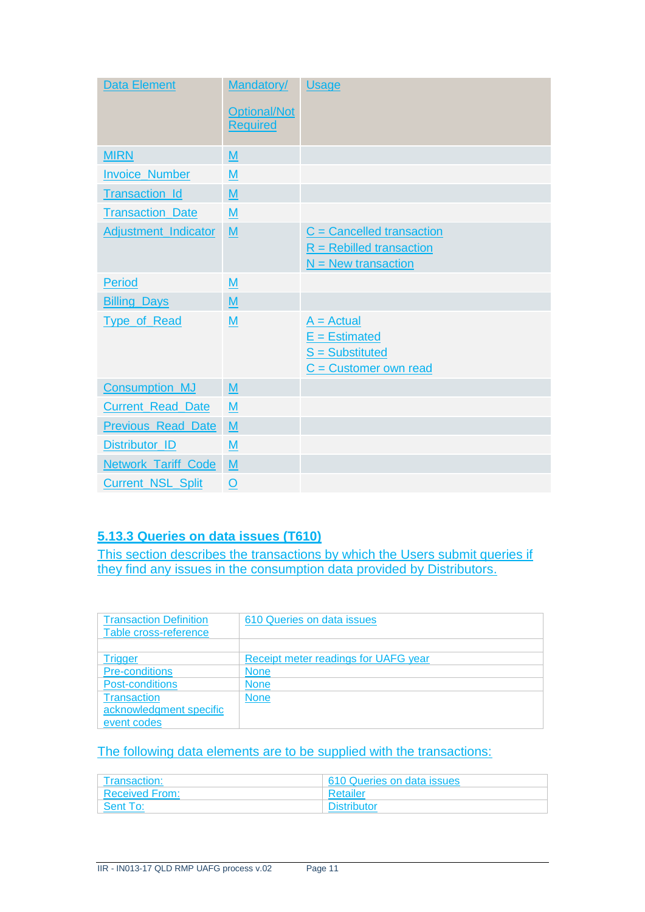| Data Element                | Mandatory/               | <b>Usage</b>                |
|-----------------------------|--------------------------|-----------------------------|
|                             | <b>Optional/Not</b>      |                             |
|                             | <b>Required</b>          |                             |
| <b>MIRN</b>                 | M                        |                             |
| <b>Invoice Number</b>       | M                        |                             |
| <b>Transaction Id</b>       | M                        |                             |
| <b>Transaction_Date</b>     | M                        |                             |
| <b>Adjustment_Indicator</b> | M                        | $C =$ Cancelled transaction |
|                             |                          | $R =$ Rebilled transaction  |
|                             |                          | $N =$ New transaction       |
| <b>Period</b>               | M                        |                             |
| <b>Billing Days</b>         | M                        |                             |
| <b>Type_of_Read</b>         | M                        | $A = Actual$                |
|                             |                          | $E =$ Estimated             |
|                             |                          | $S =$ Substituted           |
|                             |                          | $C =$ Customer own read     |
| <b>Consumption MJ</b>       | $\underline{\mathsf{M}}$ |                             |
| <b>Current_Read_Date</b>    | M                        |                             |
| <b>Previous Read Date</b>   | M                        |                             |
| Distributor_ID              | M                        |                             |
| <b>Network Tariff Code</b>  | $\underline{\mathsf{M}}$ |                             |
| <b>Current_NSL_Split</b>    | $\mathbf O$              |                             |

# **5.13.3 Queries on data issues (T610)**

This section describes the transactions by which the Users submit queries if they find any issues in the consumption data provided by Distributors.

| <b>Transaction Definition</b> | 610 Queries on data issues           |
|-------------------------------|--------------------------------------|
| Table cross-reference         |                                      |
|                               |                                      |
| <b>Trigger</b>                | Receipt meter readings for UAFG year |
| <b>Pre-conditions</b>         | <b>None</b>                          |
| Post-conditions               | <b>None</b>                          |
| <b>Transaction</b>            | <b>None</b>                          |
| acknowledgment specific       |                                      |
| event codes                   |                                      |

| Transaction:          | 610 Queries on data issues |
|-----------------------|----------------------------|
| <b>Received From:</b> | Retailer                   |
| Sent To:              | <b>Distributor</b>         |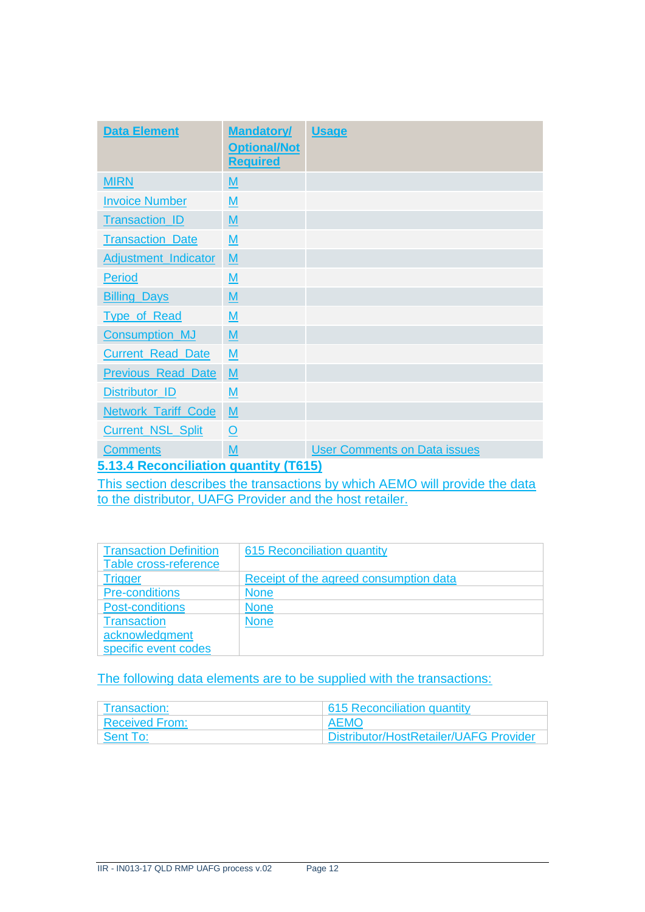| <b>Data Element</b>                   | <b>Mandatory/</b><br><b>Optional/Not</b><br><b>Required</b> | <b>Usage</b>                        |
|---------------------------------------|-------------------------------------------------------------|-------------------------------------|
| <b>MIRN</b>                           | $\underline{\mathsf{M}}$                                    |                                     |
| <b>Invoice Number</b>                 | M                                                           |                                     |
| Transaction_ID                        | M                                                           |                                     |
| <b>Transaction_Date</b>               | M                                                           |                                     |
| <b>Adjustment_Indicator</b>           | $\underline{\mathsf{M}}$                                    |                                     |
| Period                                | M                                                           |                                     |
| <b>Billing Days</b>                   | M                                                           |                                     |
| <b>Type of Read</b>                   | M                                                           |                                     |
| <b>Consumption_MJ</b>                 | M                                                           |                                     |
| <b>Current Read Date</b>              | M                                                           |                                     |
| <b>Previous Read Date</b>             | M                                                           |                                     |
| Distributor_ID                        | M                                                           |                                     |
| <b>Network Tariff Code</b>            | M                                                           |                                     |
| <b>Current_NSL_Split</b>              | $\circ$                                                     |                                     |
| <b>Comments</b>                       | M                                                           | <b>User Comments on Data issues</b> |
| 5.42.4 Peconciliation quantity (TG45) |                                                             |                                     |

**5.13.4 Reconciliation quantity (T615)**

This section describes the transactions by which AEMO will provide the data to the distributor, UAFG Provider and the host retailer.

| <b>Transaction Definition</b> | 615 Reconciliation quantity            |
|-------------------------------|----------------------------------------|
| Table cross-reference         |                                        |
| Trigger                       | Receipt of the agreed consumption data |
| <b>Pre-conditions</b>         | <b>None</b>                            |
| <b>Post-conditions</b>        | <b>None</b>                            |
| <b>Transaction</b>            | <b>None</b>                            |
| acknowledgment                |                                        |
| specific event codes          |                                        |

| Transaction:   | 615 Reconciliation quantity                   |
|----------------|-----------------------------------------------|
| Received From: | AEMO                                          |
| Sent To:       | <b>Distributor/HostRetailer/UAFG Provider</b> |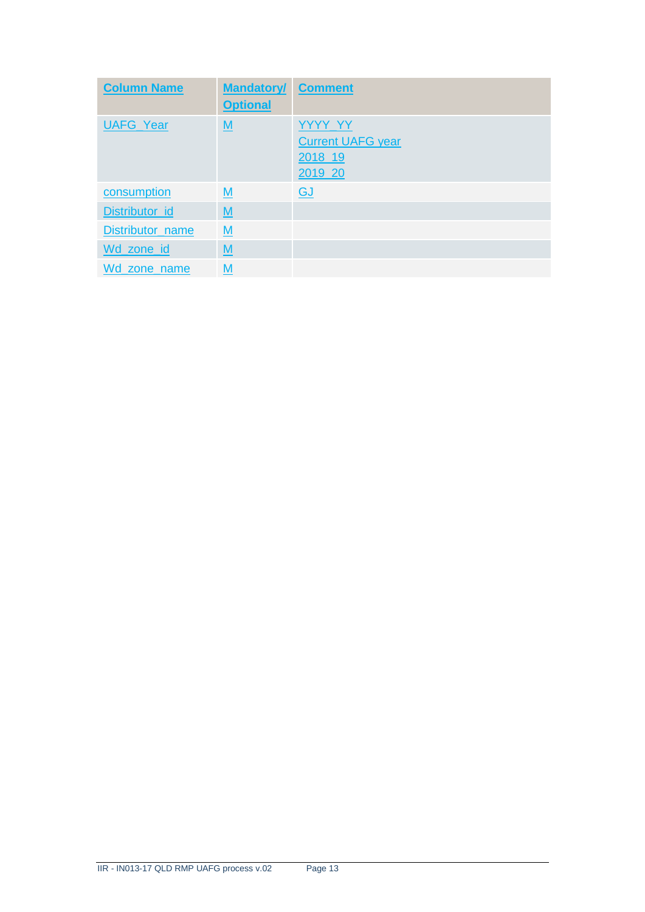| <b>Column Name</b> | <b>Mandatory/ Comment</b><br><b>Optional</b> |                                                           |
|--------------------|----------------------------------------------|-----------------------------------------------------------|
| <b>UAFG Year</b>   | M                                            | YYYY YY<br><b>Current UAFG year</b><br>2018_19<br>2019 20 |
| consumption        | $\underline{\mathsf{M}}$                     | <b>GJ</b>                                                 |
| Distributor_id     | M                                            |                                                           |
| Distributor_name   | M                                            |                                                           |
| Wd_zone_id         | $\underline{\mathsf{M}}$                     |                                                           |
| Wd zone name       | М                                            |                                                           |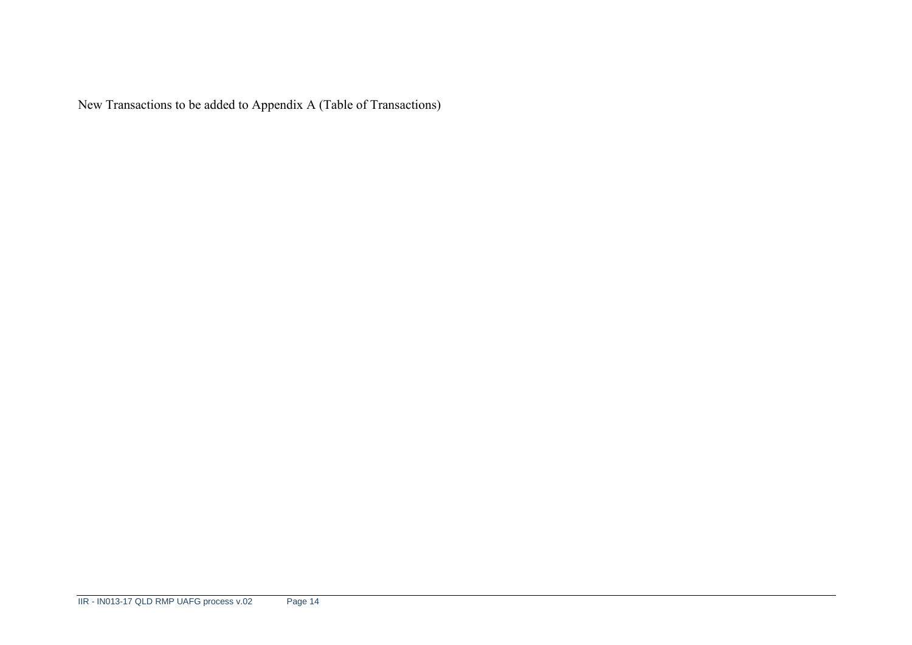New Transactions to be added to Appendix A (Table of Transactions)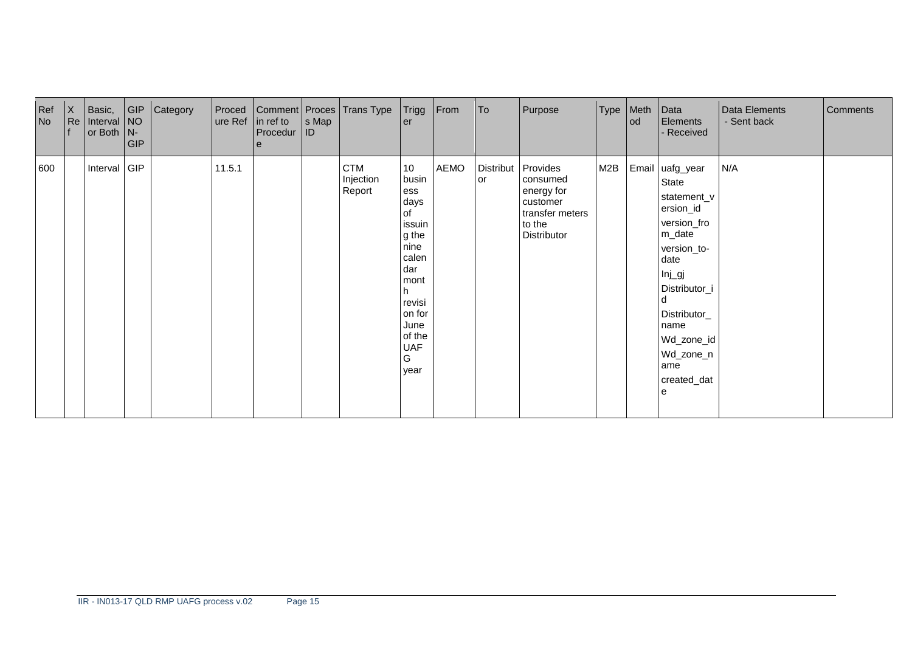| Ref<br>No | $\mathsf{X}$<br> Re | Basic,<br>Interval $NO$<br>or Both $\vert N - \vert$ | G P<br><b>GIP</b> | Category | Proced<br>ure Ref | $\ln$ ref to<br>Procedur<br>$\theta$ | $ s \text{ Map} $<br><b>ID</b> | Comment   Proces   Trans Type   Trigg   From | er                                                                                                                                                   |      | To                     | Purpose                                                                                    | Type   Meth | l od | Data<br><b>Elements</b><br>- Received                                                                                                                                                                                | Data Elements<br>- Sent back | Comments |
|-----------|---------------------|------------------------------------------------------|-------------------|----------|-------------------|--------------------------------------|--------------------------------|----------------------------------------------|------------------------------------------------------------------------------------------------------------------------------------------------------|------|------------------------|--------------------------------------------------------------------------------------------|-------------|------|----------------------------------------------------------------------------------------------------------------------------------------------------------------------------------------------------------------------|------------------------------|----------|
| 600       |                     | Interval GIP                                         |                   |          | 11.5.1            |                                      |                                | <b>CTM</b><br>Injection<br>Report            | 10<br>busin<br>ess<br>days<br>of<br>issuin<br>g the<br>nine<br>calen<br>dar<br>mont<br>revisi<br>on for<br>June<br>of the<br><b>UAF</b><br>G<br>year | AEMO | <b>Distribut</b><br>or | Provides<br>consumed<br>energy for<br>customer<br>transfer meters<br>to the<br>Distributor | M2B         |      | Email uafg_year<br>State<br>statement_v<br>ersion_id<br>version_fro<br>m_date<br>version_to-<br>date<br>$Inj$ gj<br>Distributor_i<br>d<br>Distributor_<br>name<br>Wd_zone_id<br>Wd_zone_n<br>ame<br>created_dat<br>e | N/A                          |          |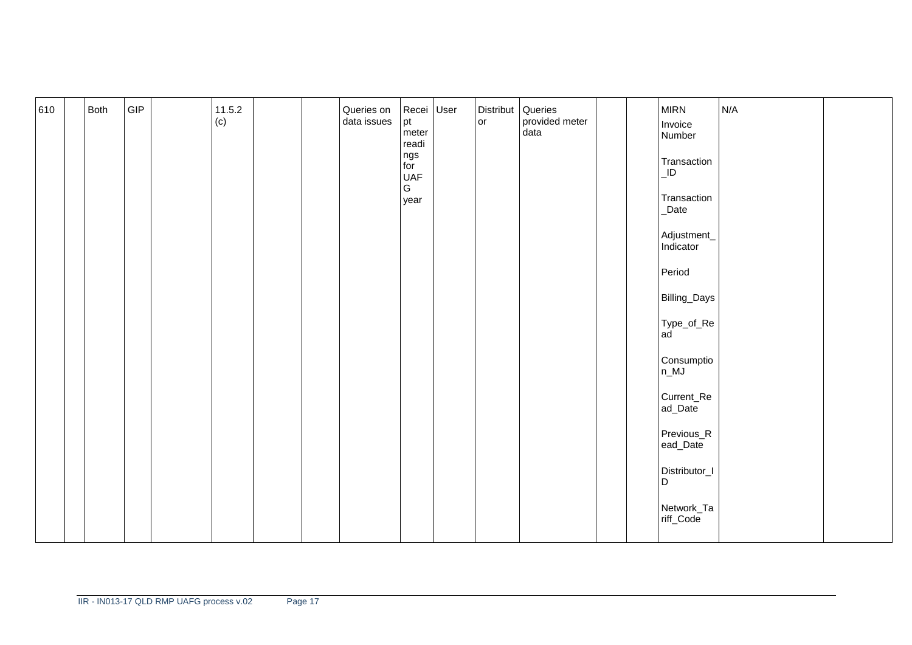| 610 | Both | GIP | 11.5.2<br>(c) |  | Queries on<br>data issues | Recei User<br>$pt$ meter<br>readi<br>ngs<br>for<br>UAF<br>${\mathsf G}$<br>year | Distribut Queries<br>lor | provided meter<br>data |  | <b>MIRN</b><br>Invoice<br>Number<br>Transaction<br>$\overline{\mathsf{L}}$<br>Transaction<br>_Date<br>Adjustment_<br>Indicator<br>Period<br>Billing_Days<br>Type_of_Re<br> ad<br>Consumptio<br>$n_M$<br>Current_Re<br>ad_Date<br>Previous_R<br>ead_Date<br>Distributor_I<br>$\mathsf D$ | N/A |  |
|-----|------|-----|---------------|--|---------------------------|---------------------------------------------------------------------------------|--------------------------|------------------------|--|-----------------------------------------------------------------------------------------------------------------------------------------------------------------------------------------------------------------------------------------------------------------------------------------|-----|--|
|     |      |     |               |  |                           |                                                                                 |                          |                        |  | Network_Ta<br>riff_Code                                                                                                                                                                                                                                                                 |     |  |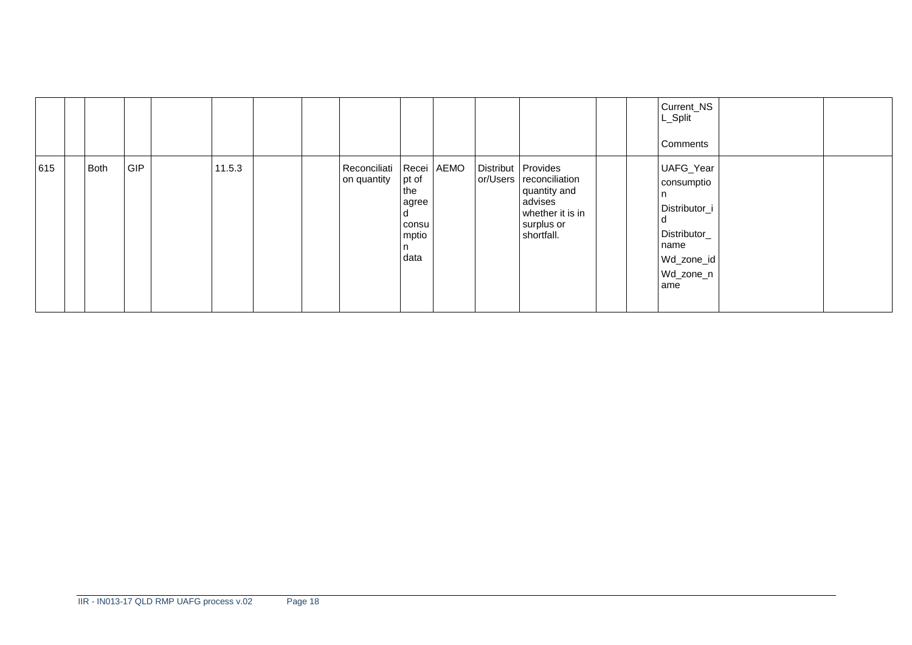|     |      |            |        |  |                                            |                                                           |          |                                                                                                                 |  | Current_NS<br>L_Split<br>Comments                                                                         |  |
|-----|------|------------|--------|--|--------------------------------------------|-----------------------------------------------------------|----------|-----------------------------------------------------------------------------------------------------------------|--|-----------------------------------------------------------------------------------------------------------|--|
| 615 | Both | <b>GIP</b> | 11.5.3 |  | Reconciliati   Recei   AEMO<br>on quantity | pt of<br>the<br>agree<br>d<br>consu<br>mptio<br>n<br>data | or/Users | Distribut Provides<br>reconciliation<br>quantity and<br>advises<br>whether it is in<br>surplus or<br>shortfall. |  | UAFG_Year<br>consumptio<br>I n<br>Distributor_i<br>Distributor_<br>name<br>Wd_zone_id<br>Wd_zone_n<br>ame |  |